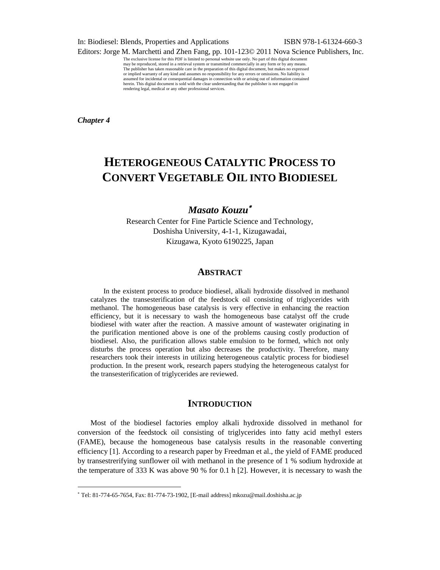In: Biodiesel: Blends, Properties and Applications ISBN 978-1-61324-660-3

Editors: Jorge M. Marchetti and Zhen Fang, pp. 101-123© 2011 Nova Science Publishers, Inc.

The exclusive license for this PDF is limited to personal website use only. No part of this digital document may be reproduced, stored in a retrieval system or transmitted commercially in any form or by any means. The publisher has taken reasonable care in the preparation of this digital document, but makes no expressed or implied warranty of any kind and assumes no responsibility for any errors or omissions. No liability is assumed for incidental or consequential damages in connection with or arising out of information contained herein. This digital document is sold with the clear understanding that the publisher is not engaged in rendering legal, medical or any other professional services.

*Chapter 4*

 $\overline{a}$ 

# **HETEROGENEOUS CATALYTIC PROCESS TO CONVERT VEGETABLE OIL INTO BIODIESEL**

# *Masato Kouzu*

Research Center for Fine Particle Science and Technology, Doshisha University, 4-1-1, Kizugawadai, Kizugawa, Kyoto 6190225, Japan

### **ABSTRACT**

In the existent process to produce biodiesel, alkali hydroxide dissolved in methanol catalyzes the transesterification of the feedstock oil consisting of triglycerides with methanol. The homogeneous base catalysis is very effective in enhancing the reaction efficiency, but it is necessary to wash the homogeneous base catalyst off the crude biodiesel with water after the reaction. A massive amount of wastewater originating in the purification mentioned above is one of the problems causing costly production of biodiesel. Also, the purification allows stable emulsion to be formed, which not only disturbs the process operation but also decreases the productivity. Therefore, many researchers took their interests in utilizing heterogeneous catalytic process for biodiesel production. In the present work, research papers studying the heterogeneous catalyst for the transesterification of triglycerides are reviewed.

## **INTRODUCTION**

Most of the biodiesel factories employ alkali hydroxide dissolved in methanol for conversion of the feedstock oil consisting of triglycerides into fatty acid methyl esters (FAME), because the homogeneous base catalysis results in the reasonable converting efficiency [1]. According to a research paper by Freedman et al., the yield of FAME produced by transestrerifying sunflower oil with methanol in the presence of 1 % sodium hydroxide at the temperature of 333 K was above 90 % for 0.1 h [2]. However, it is necessary to wash the

Tel: 81-774-65-7654, Fax: 81-774-73-1902, [E-mail address] mkozu@mail.doshisha.ac.jp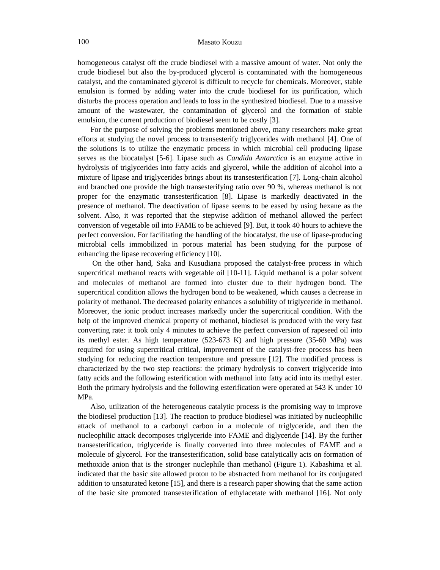homogeneous catalyst off the crude biodiesel with a massive amount of water. Not only the crude biodiesel but also the by-produced glycerol is contaminated with the homogeneous catalyst, and the contaminated glycerol is difficult to recycle for chemicals. Moreover, stable emulsion is formed by adding water into the crude biodiesel for its purification, which disturbs the process operation and leads to loss in the synthesized biodiesel. Due to a massive amount of the wastewater, the contamination of glycerol and the formation of stable emulsion, the current production of biodiesel seem to be costly [3].

For the purpose of solving the problems mentioned above, many researchers make great efforts at studying the novel process to transesterify triglycerides with methanol [4]. One of the solutions is to utilize the enzymatic process in which microbial cell producing lipase serves as the biocatalyst [5-6]. Lipase such as *Candida Antarctica* is an enzyme active in hydrolysis of triglycerides into fatty acids and glycerol, while the addition of alcohol into a mixture of lipase and triglycerides brings about its transesterification [7]. Long-chain alcohol and branched one provide the high transesterifying ratio over 90 %, whereas methanol is not proper for the enzymatic transesterification [8]. Lipase is markedly deactivated in the presence of methanol. The deactivation of lipase seems to be eased by using hexane as the solvent. Also, it was reported that the stepwise addition of methanol allowed the perfect conversion of vegetable oil into FAME to be achieved [9]. But, it took 40 hours to achieve the perfect conversion. For facilitating the handling of the biocatalyst, the use of lipase-producing microbial cells immobilized in porous material has been studying for the purpose of enhancing the lipase recovering efficiency [10].

On the other hand, Saka and Kusudiana proposed the catalyst-free process in which supercritical methanol reacts with vegetable oil [10-11]. Liquid methanol is a polar solvent and molecules of methanol are formed into cluster due to their hydrogen bond. The supercritical condition allows the hydrogen bond to be weakened, which causes a decrease in polarity of methanol. The decreased polarity enhances a solubility of triglyceride in methanol. Moreover, the ionic product increases markedly under the supercritical condition. With the help of the improved chemical property of methanol, biodiesel is produced with the very fast converting rate: it took only 4 minutes to achieve the perfect conversion of rapeseed oil into its methyl ester. As high temperature (523-673 K) and high pressure (35-60 MPa) was required for using supercritical critical, improvement of the catalyst-free process has been studying for reducing the reaction temperature and pressure [12]. The modified process is characterized by the two step reactions: the primary hydrolysis to convert triglyceride into fatty acids and the following esterification with methanol into fatty acid into its methyl ester. Both the primary hydrolysis and the following esterification were operated at 543 K under 10 MPa.

Also, utilization of the heterogeneous catalytic process is the promising way to improve the biodiesel production [13]. The reaction to produce biodiesel was initiated by nucleophilic attack of methanol to a carbonyl carbon in a molecule of triglyceride, and then the nucleophilic attack decomposes triglyceride into FAME and diglyceride [14]. By the further transesterification, triglyceride is finally converted into three molecules of FAME and a molecule of glycerol. For the transesterification, solid base catalytically acts on formation of methoxide anion that is the stronger nuclephile than methanol (Figure 1). Kabashima et al. indicated that the basic site allowed proton to be abstracted from methanol for its conjugated addition to unsaturated ketone [15], and there is a research paper showing that the same action of the basic site promoted transesterification of ethylacetate with methanol [16]. Not only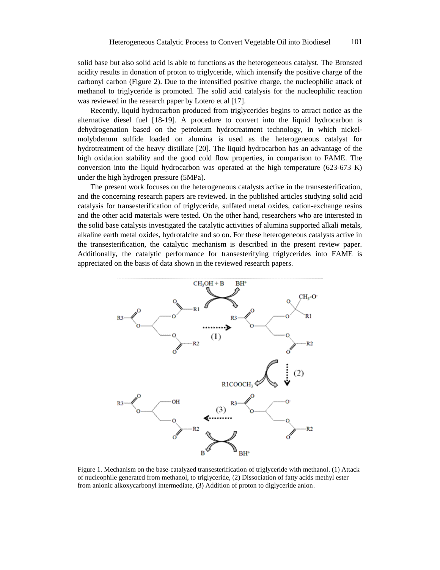solid base but also solid acid is able to functions as the heterogeneous catalyst. The Bronsted acidity results in donation of proton to triglyceride, which intensify the positive charge of the carbonyl carbon (Figure 2). Due to the intensified positive charge, the nucleophilic attack of methanol to triglyceride is promoted. The solid acid catalysis for the nucleophilic reaction was reviewed in the research paper by Lotero et al [17].

Recently, liquid hydrocarbon produced from triglycerides begins to attract notice as the alternative diesel fuel [18-19]. A procedure to convert into the liquid hydrocarbon is dehydrogenation based on the petroleum hydrotreatment technology, in which nickelmolybdenum sulfide loaded on alumina is used as the heterogeneous catalyst for hydrotreatment of the heavy distillate [20]. The liquid hydrocarbon has an advantage of the high oxidation stability and the good cold flow properties, in comparison to FAME. The conversion into the liquid hydrocarbon was operated at the high temperature  $(623-673 \text{ K})$ under the high hydrogen pressure (5MPa).

The present work focuses on the heterogeneous catalysts active in the transesterification, and the concerning research papers are reviewed. In the published articles studying solid acid catalysis for transesterification of triglyceride, sulfated metal oxides, cation-exchange resins and the other acid materials were tested. On the other hand, researchers who are interested in the solid base catalysis investigated the catalytic activities of alumina supported alkali metals, alkaline earth metal oxides, hydrotalcite and so on. For these heterogeneous catalysts active in the transesterification, the catalytic mechanism is described in the present review paper. Additionally, the catalytic performance for transesterifying triglycerides into FAME is appreciated on the basis of data shown in the reviewed research papers.



Figure 1. Mechanism on the base-catalyzed transesterification of triglyceride with methanol. (1) Attack of nucleophile generated from methanol, to triglyceride, (2) Dissociation of fatty acids methyl ester from anionic alkoxycarbonyl intermediate, (3) Addition of proton to diglyceride anion.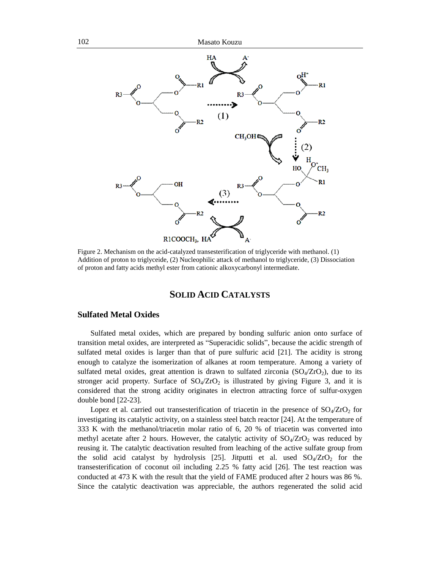

Figure 2. Mechanism on the acid-catalyzed transesterification of triglyceride with methanol. (1) Addition of proton to triglyceide, (2) Nucleophilic attack of methanol to triglyceride, (3) Dissociation of proton and fatty acids methyl ester from cationic alkoxycarbonyl intermediate.

# **SOLID ACID CATALYSTS**

### **Sulfated Metal Oxides**

Sulfated metal oxides, which are prepared by bonding sulfuric anion onto surface of transition metal oxides, are interpreted as "Superacidic solids", because the acidic strength of sulfated metal oxides is larger than that of pure sulfuric acid [21]. The acidity is strong enough to catalyze the isomerization of alkanes at room temperature. Among a variety of sulfated metal oxides, great attention is drawn to sulfated zirconia  $(SO<sub>4</sub>/ZrO<sub>2</sub>)$ , due to its stronger acid property. Surface of  $SO_4/\text{ZrO}_2$  is illustrated by giving Figure 3, and it is considered that the strong acidity originates in electron attracting force of sulfur-oxygen double bond [22-23].

Lopez et al. carried out transesterification of triacetin in the presence of  $SO_4/\text{ZrO}_2$  for investigating its catalytic activity, on a stainless steel batch reactor [24]. At the temperature of 333 K with the methanol/triacetin molar ratio of 6, 20 % of triacetin was converted into methyl acetate after 2 hours. However, the catalytic activity of  $SO_4/ZrO_2$  was reduced by reusing it. The catalytic deactivation resulted from leaching of the active sulfate group from the solid acid catalyst by hydrolysis [25]. Jitputti et al. used  $SO_4/\text{ZrO}_2$  for the transesterification of coconut oil including 2.25 % fatty acid [26]. The test reaction was conducted at 473 K with the result that the yield of FAME produced after 2 hours was 86 %. Since the catalytic deactivation was appreciable, the authors regenerated the solid acid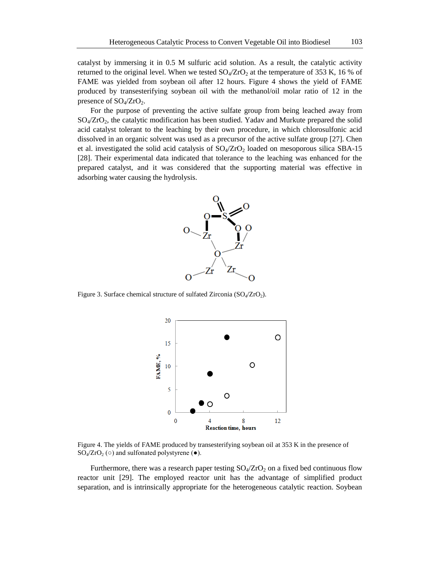catalyst by immersing it in 0.5 M sulfuric acid solution. As a result, the catalytic activity returned to the original level. When we tested  $SO_4/ZrO_2$  at the temperature of 353 K, 16 % of FAME was yielded from soybean oil after 12 hours. Figure 4 shows the yield of FAME produced by transesterifying soybean oil with the methanol/oil molar ratio of 12 in the presence of  $SO_4/ZrO_2$ .

For the purpose of preventing the active sulfate group from being leached away from  $SO_4/\text{ZrO}_2$ , the catalytic modification has been studied. Yadav and Murkute prepared the solid acid catalyst tolerant to the leaching by their own procedure, in which chlorosulfonic acid dissolved in an organic solvent was used as a precursor of the active sulfate group [27]. Chen et al. investigated the solid acid catalysis of  $SO_4/ZrO_2$  loaded on mesoporous silica SBA-15 [28]. Their experimental data indicated that tolerance to the leaching was enhanced for the prepared catalyst, and it was considered that the supporting material was effective in adsorbing water causing the hydrolysis.



Figure 3. Surface chemical structure of sulfated Zirconia  $(SO_4/ZrO_2)$ .



Figure 4. The yields of FAME produced by transesterifying soybean oil at 353 K in the presence of  $SO_4/\text{ZrO}_2$  ( $\circ$ ) and sulfonated polystyrene ( $\bullet$ ).

Furthermore, there was a research paper testing  $SO_4/ZrO_2$  on a fixed bed continuous flow reactor unit [29]. The employed reactor unit has the advantage of simplified product separation, and is intrinsically appropriate for the heterogeneous catalytic reaction. Soybean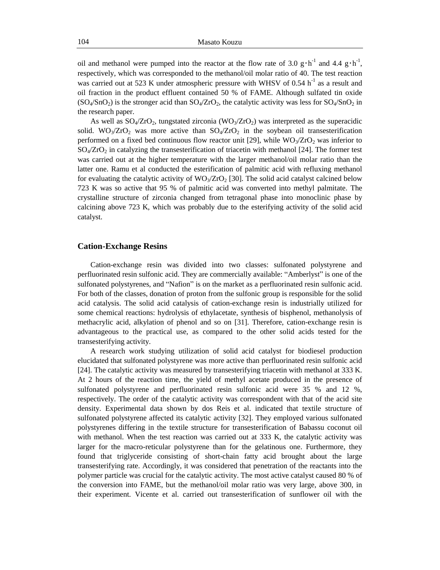oil and methanol were pumped into the reactor at the flow rate of 3.0  $g \cdot h^{-1}$  and 4.4  $g \cdot h^{-1}$ , respectively, which was corresponded to the methanol/oil molar ratio of 40. The test reaction was carried out at 523 K under atmospheric pressure with WHSV of 0.54  $h^{-1}$  as a result and oil fraction in the product effluent contained 50 % of FAME. Although sulfated tin oxide  $(SO_4/SnO_2)$  is the stronger acid than  $SO_4/ZrO_2$ , the catalytic activity was less for  $SO_4/SnO_2$  in the research paper.

As well as  $\text{SO}_4/\text{ZrO}_2$ , tungstated zirconia (WO<sub>3</sub>/ZrO<sub>2</sub>) was interpreted as the superacidic solid. WO<sub>3</sub>/ZrO<sub>2</sub> was more active than  $SO_4/ZrO_2$  in the soybean oil transesterification performed on a fixed bed continuous flow reactor unit [29], while  $WO_3/ZrO_2$  was inferior to  $SO_4/\text{ZrO}_2$  in catalyzing the transesterification of triacetin with methanol [24]. The former test was carried out at the higher temperature with the larger methanol/oil molar ratio than the latter one. Ramu et al conducted the esterification of palmitic acid with refluxing methanol for evaluating the catalytic activity of  $WO_3/ZrO_2$  [30]. The solid acid catalyst calcined below 723 K was so active that 95 % of palmitic acid was converted into methyl palmitate. The crystalline structure of zirconia changed from tetragonal phase into monoclinic phase by calcining above 723 K, which was probably due to the esterifying activity of the solid acid catalyst.

#### **Cation-Exchange Resins**

Cation-exchange resin was divided into two classes: sulfonated polystyrene and perfluorinated resin sulfonic acid. They are commercially available: "Amberlyst" is one of the sulfonated polystyrenes, and "Nafion" is on the market as a perfluorinated resin sulfonic acid. For both of the classes, donation of proton from the sulfonic group is responsible for the solid acid catalysis. The solid acid catalysis of cation-exchange resin is industrially utilized for some chemical reactions: hydrolysis of ethylacetate, synthesis of bisphenol, methanolysis of methacrylic acid, alkylation of phenol and so on [31]. Therefore, cation-exchange resin is advantageous to the practical use, as compared to the other solid acids tested for the transesterifying activity.

A research work studying utilization of solid acid catalyst for biodiesel production elucidated that sulfonated polystyrene was more active than perfluorinated resin sulfonic acid [24]. The catalytic activity was measured by transesterifying triacetin with methanol at 333 K. At 2 hours of the reaction time, the yield of methyl acetate produced in the presence of sulfonated polystyrene and perfluorinated resin sulfonic acid were 35 % and 12 %, respectively. The order of the catalytic activity was correspondent with that of the acid site density. Experimental data shown by dos Reis et al. indicated that textile structure of sulfonated polystyrene affected its catalytic activity [32]. They employed various sulfonated polystyrenes differing in the textile structure for transesterification of Babassu coconut oil with methanol. When the test reaction was carried out at 333 K, the catalytic activity was larger for the macro-reticular polystyrene than for the gelatinous one. Furthermore, they found that triglyceride consisting of short-chain fatty acid brought about the large transesterifying rate. Accordingly, it was considered that penetration of the reactants into the polymer particle was crucial for the catalytic activity. The most active catalyst caused 80 % of the conversion into FAME, but the methanol/oil molar ratio was very large, above 300, in their experiment. Vicente et al. carried out transesterification of sunflower oil with the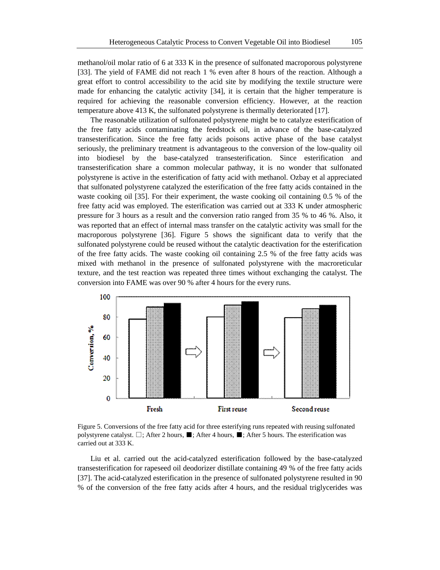methanol/oil molar ratio of 6 at 333 K in the presence of sulfonated macroporous polystyrene [33]. The yield of FAME did not reach 1 % even after 8 hours of the reaction. Although a great effort to control accessibility to the acid site by modifying the textile structure were made for enhancing the catalytic activity [34], it is certain that the higher temperature is required for achieving the reasonable conversion efficiency. However, at the reaction temperature above 413 K, the sulfonated polystyrene is thermally deteriorated [17].

The reasonable utilization of sulfonated polystyrene might be to catalyze esterification of the free fatty acids contaminating the feedstock oil, in advance of the base-catalyzed transesterification. Since the free fatty acids poisons active phase of the base catalyst seriously, the preliminary treatment is advantageous to the conversion of the low-quality oil into biodiesel by the base-catalyzed transesterification. Since esterification and transesterification share a common molecular pathway, it is no wonder that sulfonated polystyrene is active in the esterification of fatty acid with methanol. Ozbay et al appreciated that sulfonated polystyrene catalyzed the esterification of the free fatty acids contained in the waste cooking oil [35]. For their experiment, the waste cooking oil containing 0.5 % of the free fatty acid was employed. The esterification was carried out at 333 K under atmospheric pressure for 3 hours as a result and the conversion ratio ranged from 35 % to 46 %. Also, it was reported that an effect of internal mass transfer on the catalytic activity was small for the macroporous polystyrene [36]. Figure 5 shows the significant data to verify that the sulfonated polystyrene could be reused without the catalytic deactivation for the esterification of the free fatty acids. The waste cooking oil containing 2.5 % of the free fatty acids was mixed with methanol in the presence of sulfonated polystyrene with the macroreticular texture, and the test reaction was repeated three times without exchanging the catalyst. The conversion into FAME was over 90 % after 4 hours for the every runs.



Figure 5. Conversions of the free fatty acid for three esterifying runs repeated with reusing sulfonated polystyrene catalyst. □; After 2 hours, ■; After 4 hours, ■; After 5 hours. The esterification was carried out at 333 K.

Liu et al. carried out the acid-catalyzed esterification followed by the base-catalyzed transesterification for rapeseed oil deodorizer distillate containing 49 % of the free fatty acids [37]. The acid-catalyzed esterification in the presence of sulfonated polystyrene resulted in 90 % of the conversion of the free fatty acids after 4 hours, and the residual triglycerides was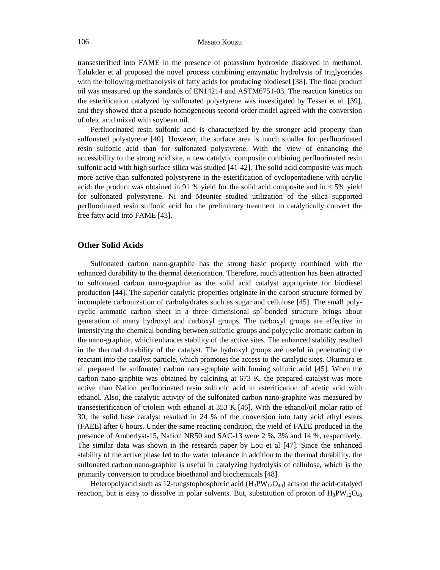transesterified into FAME in the presence of potassium hydroxide dissolved in methanol. Talukder et al proposed the novel process combining enzymatic hydrolysis of triglycerides with the following methanolysis of fatty acids for producing biodiesel [38]. The final product oil was measured up the standards of EN14214 and ASTM6751-03. The reaction kinetics on the esterification catalyzed by sulfonated polystyrene was investigated by Tesser et al. [39], and they showed that a pseudo-homogeneous second-order model agreed with the conversion of oleic acid mixed with soybean oil.

Perfluorinated resin sulfonic acid is characterized by the stronger acid property than sulfonated polystyrene [40]. However, the surface area is much smaller for perfluorinated resin sulfonic acid than for sulfonated polystyrene. With the view of enhancing the accessibility to the strong acid site, a new catalytic composite combining perfluorinated resin sulfonic acid with high surface silica was studied [41-42]. The solid acid composite was much more active than sulfonated polystyrene in the esterification of cyclopentadiene with acrylic acid: the product was obtained in 91 % yield for the solid acid composite and in  $<$  5% yield for sulfonated polystyrene. Ni and Meunier studied utilization of the silica supported perfluorinated resin sulfonic acid for the preliminary treatment to catalytically convert the free fatty acid into FAME [43].

### **Other Solid Acids**

Sulfonated carbon nano-graphite has the strong basic property combined with the enhanced durability to the thermal deterioration. Therefore, much attention has been attracted to sulfonated carbon nano-graphite as the solid acid catalyst appropriate for biodiesel production [44]. The superior catalytic properties originate in the carbon structure formed by incomplete carbonization of carbohydrates such as sugar and cellulose [45]. The small polycyclic aromatic carbon sheet in a three dimensional  $sp<sup>3</sup>$ -bonded structure brings about generation of many hydroxyl and carboxyl groups. The carboxyl groups are effective in intensifying the chemical bonding between sulfonic groups and polycyclic aromatic carbon in the nano-graphite, which enhances stability of the active sites. The enhanced stability resulted in the thermal durability of the catalyst. The hydroxyl groups are useful in penetrating the reactant into the catalyst particle, which promotes the access to the catalytic sites. Okumura et al. prepared the sulfonated carbon nano-graphite with fuming sulfuric acid [45]. When the carbon nano-graphite was obtained by calcining at 673 K, the prepared catalyst was more active than Nafion perfluorinated resin sulfonic acid in esterification of acetic acid with ethanol. Also, the catalytic activity of the sulfonated carbon nano-graphite was measured by transesterification of triolein with ethanol at 353 K [46]. With the ethanol/oil molar ratio of 30, the solid base catalyst resulted in 24 % of the conversion into fatty acid ethyl esters (FAEE) after 6 hours. Under the same reacting condition, the yield of FAEE produced in the presence of Amberlyst-15, Nafion NR50 and SAC-13 were 2 %, 3% and 14 %, respectively. The similar data was shown in the research paper by Lou et al [47]. Since the enhanced stability of the active phase led to the water tolerance in addition to the thermal durability, the sulfonated carbon nano-graphite is useful in catalyzing hydrolysis of cellulose, which is the primarily conversion to produce bioethanol and biochemicals [48].

Heteropolyacid such as 12-tungstophosphoric acid  $(H_3PW_{12}O_{40})$  acts on the acid-catalyed reaction, but is easy to dissolve in polar solvents. But, substitution of proton of  $H_3PW_{12}O_{40}$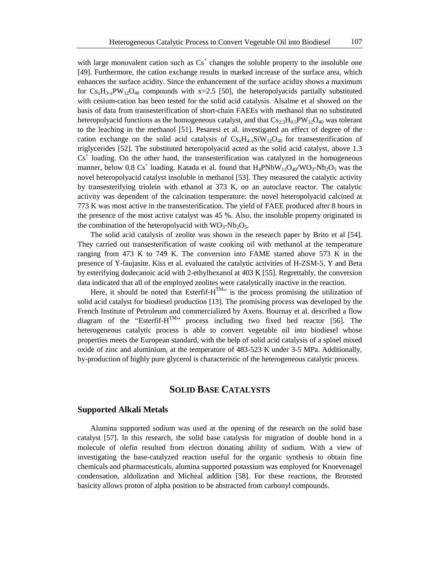with large monovalent cation such as  $Cs<sup>+</sup>$  changes the soluble property to the insoluble one [49]. Furthermore, the cation exchange results in marked increase of the surface area, which enhances the surface acidity. Since the enhancement of the surface acidity shows a maximum for  $Cs_xH_{3-x}PW_{12}O_{40}$  compounds with x=2.5 [50], the heteropolyacids partially substituted with cesium-cation has been tested for the solid acid catalysis. Alsalme et al showed on the basis of data from transesterification of short-chain FAEEs with methanol that no substituted heteropolyacid functions as the homogeneous catalyst, and that  $CS_{2.5}H_{0.5}PW_{12}O_{40}$  was tolerant to the leaching in the methanol [51]. Pesaresi et al. investigated an effect of degree of the cation exchange on the solid acid catalysis of  $Cs_xH_{4x}SiW_{12}O_{40}$  for transesterification of triglycerides [52]. The substituted heteropolyacid acted as the solid acid catalyst, above 1.3  $Cs<sup>+</sup>$  loading. On the other hand, the transesterification was catalyzed in the homogeneous manner, below 0.8  $Cs<sup>+</sup>$  loading. Katada et al. found that  $H_4$ PNb $W_{11}O_{40}/WO_3$ -Nb<sub>2</sub>O<sub>5</sub> was the novel heteropolyacid catalyst insoluble in methanol [53]. They measured the catalytic activity by transesterifying triolein with ethanol at 373 K, on an autoclave reactor. The catalytic activity was dependent of the calcination temperature: the novel heteropolyacid calcined at 773 K was most active in the transesterification. The yield of FAEE produced after 8 hours in the presence of the most active catalyst was 45 %. Also, the insoluble property originated in the combination of the heteropolyacid with  $WO_3-Nb_2O_5$ .

The solid acid catalysis of zeolite was shown in the research paper by Brito et al [54]. They carried out transesterification of waste cooking oil with methanol at the temperature ranging from 473 K to 749 K. The conversion into FAME started above 573 K in the presence of Y-faujasite. Kiss et al. evaluated the catalytic activities of H-ZSM-5, Y and Beta by esterifying dodecanoic acid with 2-ethylhexanol at 403 K [55]. Regrettably, the conversion data indicated that all of the employed zeolites were catalytically inactive in the reaction.

Here, it should be noted that Esterfif- $H^{TM}$  is the process promising the utilization of solid acid catalyst for biodiesel production [13]. The promising process was developed by the French Institute of Petroleum and commercialized by Axens. Bournay et al. described a flow diagram of the "Esterfif-H<sup>TM</sup>" process including two fixed bed reactor [56]. The heterogeneous catalytic process is able to convert vegetable oil into biodiesel whose properties meets the European standard, with the help of solid acid catalysis of a spinel mixed oxide of zinc and aluminium, at the temperature of 483-523 K under 3-5 MPa. Additionally, by-production of highly pure glycerol is characteristic of the heterogeneous catalytic process.

# **SOLID BASE CATALYSTS**

### **Supported Alkali Metals**

Alumina supported sodium was used at the opening of the research on the solid base catalyst [57]. In this research, the solid base catalysis for migration of double bond in a molecule of olefin resulted from electron donating ability of sodium. With a view of investigating the base-catalyzed reaction useful for the organic synthesis to obtain fine chemicals and pharmaceuticals, alumina supported potassium was employed for Knoevenagel condensation, aldolization and Micheal addition [58]. For these reactions, the Bronsted basicity allows proton of alpha position to be abstracted from carbonyl compounds.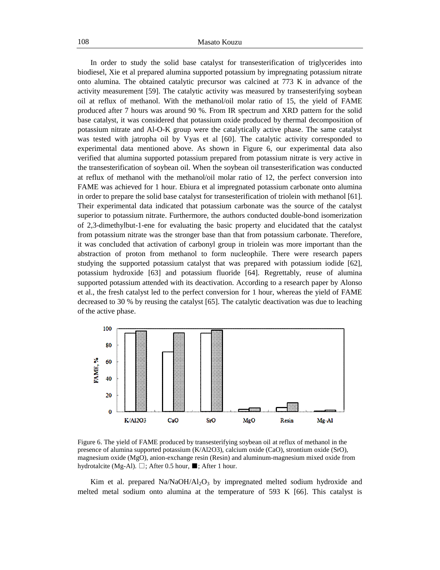In order to study the solid base catalyst for transesterification of triglycerides into biodiesel, Xie et al prepared alumina supported potassium by impregnating potassium nitrate onto alumina. The obtained catalytic precursor was calcined at 773 K in advance of the activity measurement [59]. The catalytic activity was measured by transesterifying soybean oil at reflux of methanol. With the methanol/oil molar ratio of 15, the yield of FAME produced after 7 hours was around 90 %. From IR spectrum and XRD pattern for the solid base catalyst, it was considered that potassium oxide produced by thermal decomposition of potassium nitrate and Al-O-K group were the catalytically active phase. The same catalyst was tested with jatropha oil by Vyas et al [60]. The catalytic activity corresponded to experimental data mentioned above. As shown in Figure 6, our experimental data also verified that alumina supported potassium prepared from potassium nitrate is very active in the transesterification of soybean oil. When the soybean oil transesterification was conducted at reflux of methanol with the methanol/oil molar ratio of 12, the perfect conversion into FAME was achieved for 1 hour. Ebiura et al impregnated potassium carbonate onto alumina in order to prepare the solid base catalyst for transesterification of triolein with methanol [61]. Their experimental data indicated that potassium carbonate was the source of the catalyst superior to potassium nitrate. Furthermore, the authors conducted double-bond isomerization of 2,3-dimethylbut-1-ene for evaluating the basic property and elucidated that the catalyst from potassium nitrate was the stronger base than that from potassium carbonate. Therefore, it was concluded that activation of carbonyl group in triolein was more important than the abstraction of proton from methanol to form nucleophile. There were research papers studying the supported potassium catalyst that was prepared with potassium iodide [62], potassium hydroxide [63] and potassium fluoride [64]. Regrettably, reuse of alumina supported potassium attended with its deactivation. According to a research paper by Alonso et al., the fresh catalyst led to the perfect conversion for 1 hour, whereas the yield of FAME decreased to 30 % by reusing the catalyst [65]. The catalytic deactivation was due to leaching of the active phase.



Figure 6. The yield of FAME produced by transesterifying soybean oil at reflux of methanol in the presence of alumina supported potassium (K/Al2O3), calcium oxide (CaO), strontium oxide (SrO), magnesium oxide (MgO), anion-exchange resin (Resin) and aluminum-magnesium mixed oxide from hydrotalcite (Mg-Al). □; After 0.5 hour, ■; After 1 hour.

Kim et al. prepared  $Na/NaOH/Al<sub>2</sub>O<sub>3</sub>$  by impregnated melted sodium hydroxide and melted metal sodium onto alumina at the temperature of 593 K [66]. This catalyst is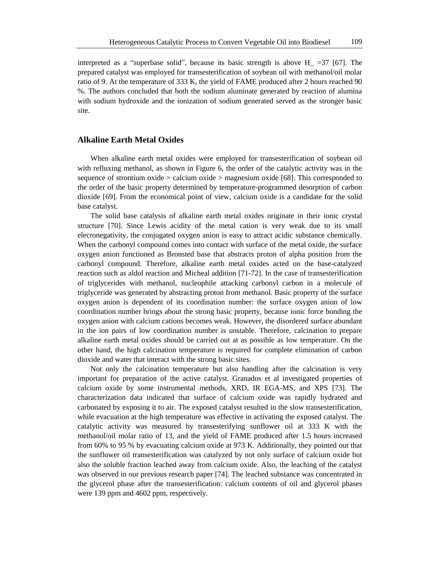interpreted as a "superbase solid", because its basic strength is above  $H = 37$  [67]. The prepared catalyst was employed for transesterification of soybean oil with methanol/oil molar ratio of 9. At the temperature of 333 K, the yield of FAME produced after 2 hours reached 90 %. The authors concluded that both the sodium aluminate generated by reaction of alumina with sodium hydroxide and the ionization of sodium generated served as the stronger basic site.

### **Alkaline Earth Metal Oxides**

When alkaline earth metal oxides were employed for transesterification of soybean oil with refluxing methanol, as shown in Figure 6, the order of the catalytic activity was in the sequence of strontium oxide  $>$  calcium oxide  $>$  magnesium oxide [68]. This corresponded to the order of the basic property determined by temperature-programmed desorption of carbon dioxide [69]. From the economical point of view, calcium oxide is a candidate for the solid base catalyst.

The solid base catalysis of alkaline earth metal oxides originate in their ionic crystal structure [70]. Since Lewis acidity of the metal cation is very weak due to its small elecronegativity, the conjugated oxygen anion is easy to attract acidic substance chemically. When the carbonyl compound comes into contact with surface of the metal oxide, the surface oxygen anion functioned as Bronsted base that abstracts proton of alpha position from the carbonyl compound. Therefore, alkaline earth metal oxides acted on the base-catalyzed reaction such as aldol reaction and Micheal addition [71-72]. In the case of transesterification of triglycerides with methanol, nucleophile attacking carbonyl carbon in a molecule of triglyceride was generated by abstracting proton from methanol. Basic property of the surface oxygen anion is dependent of its coordination number: the surface oxygen anion of low coordination number brings about the strong basic property, because ionic force bonding the oxygen anion with calcium cations becomes weak. However, the disordered surface abundant in the ion pairs of low coordination number is unstable. Therefore, calcination to prepare alkaline earth metal oxides should be carried out at as possible as low temperature. On the other hand, the high calcination temperature is required for complete elimination of carbon dioxide and water that interact with the strong basic sites.

Not only the calcination temperature but also handling after the calcination is very important for preparation of the active catalyst. Granados et al investigated properties of calcium oxide by some instrumental methods, XRD, IR EGA-MS, and XPS [73]. The characterization data indicated that surface of calcium oxide was rapidly hydrated and carbonated by exposing it to air. The exposed catalyst resulted in the slow transesterification, while evacuation at the high temperature was effective in activating the exposed catalyst. The catalytic activity was measured by transesterifying sunflower oil at 333 K with the methanol/oil molar ratio of 13, and the yield of FAME produced after 1.5 hours increased from 60% to 95 % by evacuating calcium oxide at 973 K. Additionally, they pointed out that the sunflower oil transesterification was catalyzed by not only surface of calcium oxide but also the soluble fraction leached away from calcium oxide. Also, the leaching of the catalyst was observed in our previous research paper [74]. The leached substance was concentrated in the glycerol phase after the transesterification: calcium contents of oil and glycerol phases were 139 ppm and 4602 ppm, respectively.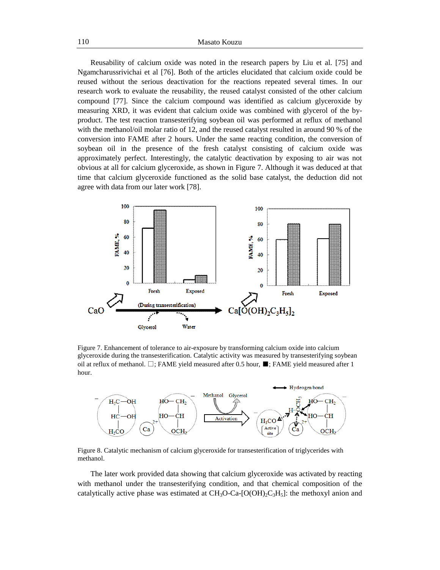Reusability of calcium oxide was noted in the research papers by Liu et al. [75] and Ngamcharussrivichai et al [76]. Both of the articles elucidated that calcium oxide could be reused without the serious deactivation for the reactions repeated several times. In our research work to evaluate the reusability, the reused catalyst consisted of the other calcium compound [77]. Since the calcium compound was identified as calcium glyceroxide by measuring XRD, it was evident that calcium oxide was combined with glycerol of the byproduct. The test reaction transesterifying soybean oil was performed at reflux of methanol with the methanol/oil molar ratio of 12, and the reused catalyst resulted in around 90 % of the conversion into FAME after 2 hours. Under the same reacting condition, the conversion of soybean oil in the presence of the fresh catalyst consisting of calcium oxide was approximately perfect. Interestingly, the catalytic deactivation by exposing to air was not obvious at all for calcium glyceroxide, as shown in Figure 7. Although it was deduced at that time that calcium glyceroxide functioned as the solid base catalyst, the deduction did not agree with data from our later work [78].



Figure 7. Enhancement of tolerance to air-exposure by transforming calcium oxide into calcium glyceroxide during the transesterification. Catalytic activity was measured by transesterifying soybean oil at reflux of methanol.  $\Box$ ; FAME yield measured after 0.5 hour,  $\blacksquare$ ; FAME yield measured after 1 hour.



Figure 8. Catalytic mechanism of calcium glyceroxide for transesterification of triglycerides with methanol.

The later work provided data showing that calcium glyceroxide was activated by reacting with methanol under the transesterifying condition, and that chemical composition of the catalytically active phase was estimated at  $CH_3O\text{-}Ca\text{-}[O(OH)_2C_3H_5]$ : the methoxyl anion and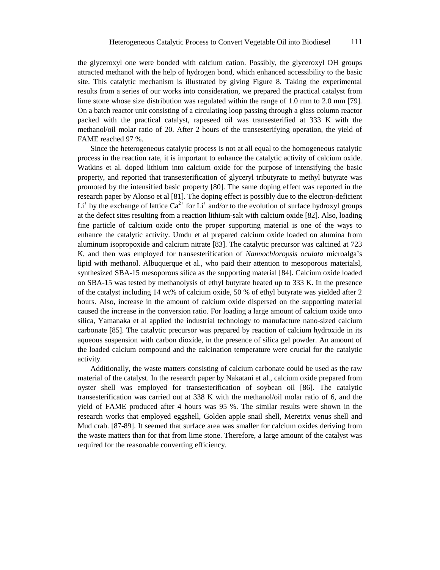the glyceroxyl one were bonded with calcium cation. Possibly, the glyceroxyl OH groups attracted methanol with the help of hydrogen bond, which enhanced accessibility to the basic site. This catalytic mechanism is illustrated by giving Figure 8. Taking the experimental results from a series of our works into consideration, we prepared the practical catalyst from lime stone whose size distribution was regulated within the range of 1.0 mm to 2.0 mm [79]. On a batch reactor unit consisting of a circulating loop passing through a glass column reactor packed with the practical catalyst, rapeseed oil was transesterified at 333 K with the methanol/oil molar ratio of 20. After 2 hours of the transesterifying operation, the yield of FAME reached 97 %.

Since the heterogeneous catalytic process is not at all equal to the homogeneous catalytic process in the reaction rate, it is important to enhance the catalytic activity of calcium oxide. Watkins et al. doped lithium into calcium oxide for the purpose of intensifying the basic property, and reported that transesterification of glyceryl tributyrate to methyl butyrate was promoted by the intensified basic property [80]. The same doping effect was reported in the research paper by Alonso et al [81]. The doping effect is possibly due to the electron-deficient Li<sup>+</sup> by the exchange of lattice  $Ca^{2+}$  for Li<sup>+</sup> and/or to the evolution of surface hydroxyl groups at the defect sites resulting from a reaction lithium-salt with calcium oxide [82]. Also, loading fine particle of calcium oxide onto the proper supporting material is one of the ways to enhance the catalytic activity. Umdu et al prepared calcium oxide loaded on alumina from aluminum isopropoxide and calcium nitrate [83]. The catalytic precursor was calcined at 723 K, and then was employed for transesterification of *Nannochloropsis oculata* microalga's lipid with methanol. Albuquerque et al., who paid their attention to mesoporous materialsl, synthesized SBA-15 mesoporous silica as the supporting material [84]. Calcium oxide loaded on SBA-15 was tested by methanolysis of ethyl butyrate heated up to 333 K. In the presence of the catalyst including 14 wt% of calcium oxide, 50 % of ethyl butyrate was yielded after 2 hours. Also, increase in the amount of calcium oxide dispersed on the supporting material caused the increase in the conversion ratio. For loading a large amount of calcium oxide onto silica, Yamanaka et al applied the industrial technology to manufacture nano-sized calcium carbonate [85]. The catalytic precursor was prepared by reaction of calcium hydroxide in its aqueous suspension with carbon dioxide, in the presence of silica gel powder. An amount of the loaded calcium compound and the calcination temperature were crucial for the catalytic activity.

Additionally, the waste matters consisting of calcium carbonate could be used as the raw material of the catalyst. In the research paper by Nakatani et al., calcium oxide prepared from oyster shell was employed for transesterification of soybean oil [86]. The catalytic transesterification was carried out at 338 K with the methanol/oil molar ratio of 6, and the yield of FAME produced after 4 hours was 95 %. The similar results were shown in the research works that employed eggshell, Golden apple snail shell, Meretrix venus shell and Mud crab. [87-89]. It seemed that surface area was smaller for calcium oxides deriving from the waste matters than for that from lime stone. Therefore, a large amount of the catalyst was required for the reasonable converting efficiency.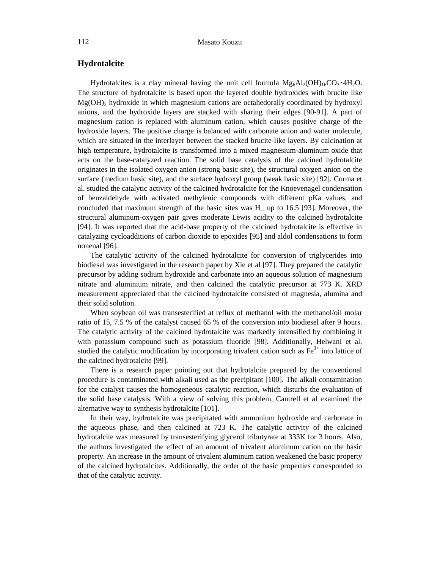### **Hydrotalcite**

Hydrotalcites is a clay mineral having the unit cell formula  $Mg_6Al_2(OH)_{16}CO_3 \cdot 4H_2O$ . The structure of hydrotalcite is based upon the layered double hydroxides with brucite like  $Mg(OH)_2$  hydroxide in which magnesium cations are octahedorally coordinated by hydroxyl anions, and the hydroxide layers are stacked with sharing their edges [90-91]. A part of magnesium cation is replaced with aluminum cation, which causes positive charge of the hydroxide layers. The positive charge is balanced with carbonate anion and water molecule, which are situated in the interlayer between the stacked brucite-like layers. By calcination at high temperature, hydrotalcite is transformed into a mixed magnesium-aluminum oxide that acts on the base-catalyzed reaction. The solid base catalysis of the calcined hydrotalcite originates in the isolated oxygen anion (strong basic site), the structural oxygen anion on the surface (medium basic site), and the surface hydroxyl group (weak basic site) [92]. Corma et al. studied the catalytic activity of the calcined hydrotalcite for the Knoevenagel condensation of benzaldehyde with activated methylenic compounds with different pKa values, and concluded that maximum strength of the basic sites was H\_ up to 16.5 [93]. Moreover, the structural aluminum-oxygen pair gives moderate Lewis acidity to the calcined hydrotalcite [94]. It was reported that the acid-base property of the calcined hydrotalcite is effective in catalyzing cycloadditions of carbon dioxide to epoxides [95] and aldol condensations to form nonenal [96].

The catalytic activity of the calcined hydrotalcite for conversion of triglycerides into biodiesel was investigared in the research paper by Xie et al [97]. They prepared the catalytic precursor by adding sodium hydroxide and carbonate into an aqueous solution of magnesium nitrate and aluminium nitrate, and then calcined the catalytic precursor at 773 K. XRD measurement appreciated that the calcined hydrotalcite consisted of magnesia, alumina and their solid solution.

When soybean oil was transesterified at reflux of methanol with the methanol/oil molar ratio of 15, 7.5 % of the catalyst caused 65 % of the conversion into biodiesel after 9 hours. The catalytic activity of the calcined hydrotalcite was markedly intensified by combining it with potassium compound such as potassium fluoride [98]. Additionally, Helwani et al. studied the catalytic modification by incorporating trivalent cation such as  $\text{Fe}^{3+}$  into lattice of the calcined hydrotalcite [99].

There is a research paper pointing out that hydrotalcite prepared by the conventional procedure is contaminated with alkali used as the precipitant [100]. The alkali contamination for the catalyst causes the homogeneous catalytic reaction, which disturbs the evaluation of the solid base catalysis. With a view of solving this problem, Cantrell et al examined the alternative way to synthesis hydrotalcite [101].

In their way, hydrotalcite was precipitated with ammonium hydroxide and carbonate in the aqueous phase, and then calcined at 723 K. The catalytic activity of the calcined hydrotalcite was measured by transesterifying glycerol tributyrate at 333K for 3 hours. Also, the authors investigated the effect of an amount of trivalent aluminum cation on the basic property. An increase in the amount of trivalent aluminum cation weakened the basic property of the calcined hydrotalcites. Additionally, the order of the basic properties corresponded to that of the catalytic activity.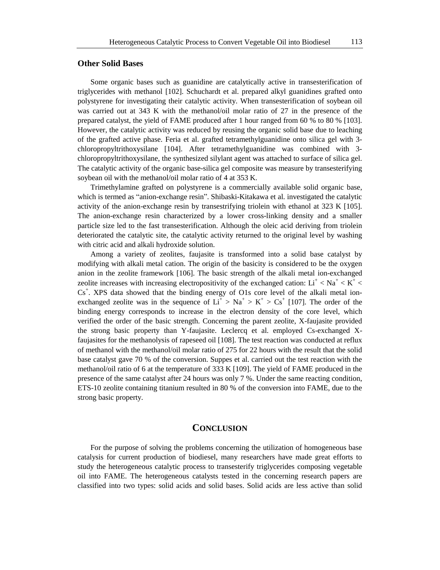### **Other Solid Bases**

Some organic bases such as guanidine are catalytically active in transesterification of triglycerides with methanol [102]. Schuchardt et al. prepared alkyl guanidines grafted onto polystyrene for investigating their catalytic activity. When transesterification of soybean oil was carried out at 343 K with the methanol/oil molar ratio of 27 in the presence of the prepared catalyst, the yield of FAME produced after 1 hour ranged from 60 % to 80 % [103]. However, the catalytic activity was reduced by reusing the organic solid base due to leaching of the grafted active phase. Feria et al. grafted tetramethylguanidine onto silica gel with 3 chloropropyltrithoxysilane [104]. After tetramethylguanidine was combined with 3 chloropropyltrithoxysilane, the synthesized silylant agent was attached to surface of silica gel. The catalytic activity of the organic base-silica gel composite was measure by transesterifying soybean oil with the methanol/oil molar ratio of 4 at 353 K.

Trimethylamine grafted on polystyrene is a commercially available solid organic base, which is termed as "anion-exchange resin". Shibaski-Kitakawa et al. investigated the catalytic activity of the anion-exchange resin by transestrifying triolein with ethanol at 323 K [105]. The anion-exchange resin characterized by a lower cross-linking density and a smaller particle size led to the fast transesterification. Although the oleic acid deriving from triolein deteriorated the catalytic site, the catalytic activity returned to the original level by washing with citric acid and alkali hydroxide solution.

Among a variety of zeolites, faujasite is transformed into a solid base catalyst by modifying with alkali metal cation. The origin of the basicity is considered to be the oxygen anion in the zeolite framework [106]. The basic strength of the alkali metal ion-exchanged zeolite increases with increasing electropositivity of the exchanged cation:  $Li^+$  <  $Na^+$  <  $K^+$  <  $Cs<sup>+</sup>$ . XPS data showed that the binding energy of O1s core level of the alkali metal ionexchanged zeolite was in the sequence of  $Li^+ > Na^+ > K^+ > Cs^+$  [107]. The order of the binding energy corresponds to increase in the electron density of the core level, which verified the order of the basic strength. Concerning the parent zeolite, X-faujasite provided the strong basic property than Y-faujasite. Leclercq et al. employed Cs-exchanged Xfaujasites for the methanolysis of rapeseed oil [108]. The test reaction was conducted at reflux of methanol with the methanol/oil molar ratio of 275 for 22 hours with the result that the solid base catalyst gave 70 % of the conversion. Suppes et al. carried out the test reaction with the methanol/oil ratio of 6 at the temperature of 333 K [109]. The yield of FAME produced in the presence of the same catalyst after 24 hours was only 7 %. Under the same reacting condition, ETS-10 zeolite containing titanium resulted in 80 % of the conversion into FAME, due to the strong basic property.

#### **CONCLUSION**

For the purpose of solving the problems concerning the utilization of homogeneous base catalysis for current production of biodiesel, many researchers have made great efforts to study the heterogeneous catalytic process to transesterify triglycerides composing vegetable oil into FAME. The heterogeneous catalysts tested in the concerning research papers are classified into two types: solid acids and solid bases. Solid acids are less active than solid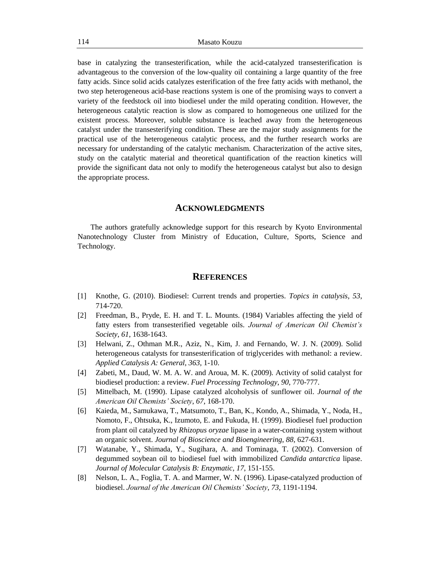base in catalyzing the transesterification, while the acid-catalyzed transesterification is advantageous to the conversion of the low-quality oil containing a large quantity of the free fatty acids. Since solid acids catalyzes esterification of the free fatty acids with methanol, the two step heterogeneous acid-base reactions system is one of the promising ways to convert a variety of the feedstock oil into biodiesel under the mild operating condition. However, the heterogeneous catalytic reaction is slow as compared to homogeneous one utilized for the existent process. Moreover, soluble substance is leached away from the heterogeneous catalyst under the transesterifying condition. These are the major study assignments for the practical use of the heterogeneous catalytic process, and the further research works are necessary for understanding of the catalytic mechanism. Characterization of the active sites, study on the catalytic material and theoretical quantification of the reaction kinetics will provide the significant data not only to modify the heterogeneous catalyst but also to design the appropriate process.

#### **ACKNOWLEDGMENTS**

The authors gratefully acknowledge support for this research by Kyoto Environmental Nanotechnology Cluster from Ministry of Education, Culture, Sports, Science and Technology.

### **REFERENCES**

- [1] Knothe, G. (2010). Biodiesel: Current trends and properties. *Topics in catalysis, 53*, 714-720.
- [2] Freedman, B., Pryde, E. H. and T. L. Mounts. (1984) Variables affecting the yield of fatty esters from transesterified vegetable oils. *Journal of American Oil Chemist's Society*, *61*, 1638-1643.
- [3] Helwani, Z., Othman M.R., Aziz, N., Kim, J. and Fernando, W. J. N. (2009). Solid heterogeneous catalysts for transesterification of triglycerides with methanol: a review. *Applied Catalysis A: General*, *363*, 1-10.
- [4] Zabeti, M., Daud, W. M. A. W. and Aroua, M. K. (2009). Activity of solid catalyst for biodiesel production: a review. *Fuel Processing Technology*, *90*, 770-777.
- [5] Mittelbach, M. (1990). Lipase catalyzed alcoholysis of sunflower oil. *Journal of the American Oil Chemists' Society*, *67*, 168-170.
- [6] Kaieda, M., Samukawa, T., Matsumoto, T., Ban, K., Kondo, A., Shimada, Y., Noda, H., Nomoto, F., Ohtsuka, K., Izumoto, E. and Fukuda, H. (1999). Biodiesel fuel production from plant oil catalyzed by *Rhizopus oryzae* lipase in a water-containing system without an organic solvent. *Journal of Bioscience and Bioengineering*, *88*, 627-631.
- [7] Watanabe, Y., Shimada, Y., Sugihara, A. and Tominaga, T. (2002). Conversion of degummed soybean oil to biodiesel fuel with immobilized *Candida antarctica* lipase. *Journal of Molecular Catalysis B: Enzymatic*, *17*, 151-155.
- [8] Nelson, L. A., Foglia, T. A. and Marmer, W. N. (1996). Lipase-catalyzed production of biodiesel. *Journal of the American Oil Chemists' Society*, *73*, 1191-1194.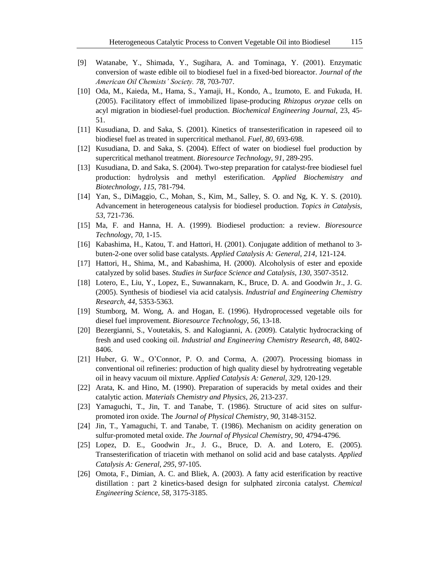- [9] Watanabe, Y., Shimada, Y., Sugihara, A. and Tominaga, Y. (2001). Enzymatic conversion of waste edible oil to biodiesel fuel in a fixed-bed bioreactor. *Journal of the American Oil Chemists' Society. 78*, 703-707.
- [10] Oda, M., Kaieda, M., Hama, S., Yamaji, H., Kondo, A., Izumoto, E. and Fukuda, H. (2005). Facilitatory effect of immobilized lipase-producing *Rhizopus oryzae* cells on acyl migration in biodiesel-fuel production. *Biochemical Engineering Journal,* 23, 45- 51.
- [11] Kusudiana, D. and Saka, S. (2001). Kinetics of transesterification in rapeseed oil to biodiesel fuel as treated in supercritical methanol. *Fuel*, *80*, 693-698.
- [12] Kusudiana, D. and Saka, S. (2004). Effect of water on biodiesel fuel production by supercritical methanol treatment. *Bioresource Technology*, *91*, 289-295.
- [13] Kusudiana, D. and Saka, S. (2004). Two-step preparation for catalyst-free biodiesel fuel production: hydrolysis and methyl esterification. *Applied Biochemistry and Biotechnology*, *115*, 781-794.
- [14] Yan, S., DiMaggio, C., Mohan, S., Kim, M., Salley, S. O. and Ng, K. Y. S. (2010). Advancement in heterogeneous catalysis for biodiesel production. *Topics in Catalysis*, *53*, 721-736.
- [15] Ma, F. and Hanna, H. A. (1999). Biodiesel production: a review. *Bioresource Technology*, *70*, 1-15.
- [16] Kabashima, H., Katou, T. and Hattori, H. (2001). Conjugate addition of methanol to 3 buten-2-one over solid base catalysts. *Applied Catalysis A: General*, *214*, 121-124.
- [17] Hattori, H., Shima, M., and Kabashima, H. (2000). Alcoholysis of ester and epoxide catalyzed by solid bases. *Studies in Surface Science and Catalysis, 130*, 3507-3512.
- [18] Lotero, E., Liu, Y., Lopez, E., Suwannakarn, K., Bruce, D. A. and Goodwin Jr., J. G. (2005). Synthesis of biodiesel via acid catalysis. *Industrial and Engineering Chemistry Research*, *44*, 5353-5363.
- [19] Stumborg, M. Wong, A. and Hogan, E. (1996). Hydroprocessed vegetable oils for diesel fuel improvement. *Bioresource Technology*, *56*, 13-18.
- [20] Bezergianni, S., Voutetakis, S. and Kalogianni, A. (2009). Catalytic hydrocracking of fresh and used cooking oil. *Industrial and Engineering Chemistry Research*, *48*, 8402- 8406.
- [21] Huber, G. W., O'Connor, P. O. and Corma, A. (2007). Processing biomass in conventional oil refineries: production of high quality diesel by hydrotreating vegetable oil in heavy vacuum oil mixture. *Applied Catalysis A: General*, *329*, 120-129.
- [22] Arata, K. and Hino, M. (1990). Preparation of superacids by metal oxides and their catalytic action. *Materials Chemistry and Physics*, *26*, 213-237.
- [23] Yamaguchi, T., Jin, T. and Tanabe, T. (1986). Structure of acid sites on sulfurpromoted iron oxide. The *Journal of Physical Chemistry*, *90*, 3148-3152.
- [24] Jin, T., Yamaguchi, T. and Tanabe, T. (1986). Mechanism on acidity generation on sulfur-promoted metal oxide. *The Journal of Physical Chemistry*, *90*, 4794-4796.
- [25] Lopez, D. E., Goodwin Jr., J. G., Bruce, D. A. and Lotero, E. (2005). Transesterification of triacetin with methanol on solid acid and base catalysts. *Applied Catalysis A: General*, *295*, 97-105.
- [26] Omota, F., Dimian, A. C. and Bliek, A. (2003). A fatty acid esterification by reactive distillation : part 2 kinetics-based design for sulphated zirconia catalyst. *Chemical Engineering Science*, *58*, 3175-3185.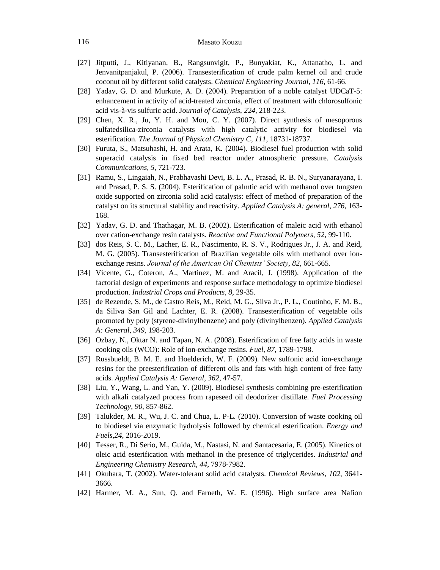- [27] Jitputti, J., Kitiyanan, B., Rangsunvigit, P., Bunyakiat, K., Attanatho, L. and Jenvanitpanjakul, P. (2006). Transesterification of crude palm kernel oil and crude coconut oil by different solid catalysts. *Chemical Engineering Journal*, *116*, 61-66.
- [28] Yadav, G. D. and Murkute, A. D. (2004). Preparation of a noble catalyst UDCaT-5: enhancement in activity of acid-treated zirconia, effect of treatment with chlorosulfonic acid vis-à-vis sulfuric acid. J*ournal of Catalysis*, *224*, 218-223.
- [29] Chen, X. R., Ju, Y. H. and Mou, C. Y. (2007). Direct synthesis of mesoporous sulfatedsilica-zirconia catalysts with high catalytic activity for biodiesel via esterification. *The Journal of Physical Chemistry C*, *111*, 18731-18737.
- [30] Furuta, S., Matsuhashi, H. and Arata, K. (2004). Biodiesel fuel production with solid superacid catalysis in fixed bed reactor under atmospheric pressure. *Catalysis Communications*, *5*, 721-723.
- [31] Ramu, S., Lingaiah, N., Prabhavashi Devi, B. L. A., Prasad, R. B. N., Suryanarayana, I. and Prasad, P. S. S. (2004). Esterification of palmtic acid with methanol over tungsten oxide supported on zirconia solid acid catalysts: effect of method of preparation of the catalyst on its structural stability and reactivity. *Applied Catalysis A: general*, *276*, 163- 168.
- [32] Yadav, G. D. and Thathagar, M. B. (2002). Esterification of maleic acid with ethanol over cation-exchange resin catalysts. *Reactive and Functional Polymers*, *52*, 99-110.
- [33] dos Reis, S. C. M., Lacher, E. R., Nascimento, R. S. V., Rodrigues Jr., J. A. and Reid, M. G. (2005). Transesterification of Brazilian vegetable oils with methanol over ionexchange resins. *Journal of the American Oil Chemists' Society*, *82*, 661-665.
- [34] Vicente, G., Coteron, A., Martinez, M. and Aracil, J. (1998). Application of the factorial design of experiments and response surface methodology to optimize biodiesel production. *Industrial Crops and Products*, *8*, 29-35.
- [35] de Rezende, S. M., de Castro Reis, M., Reid, M. G., Silva Jr., P. L., Coutinho, F. M. B., da Siliva San Gil and Lachter, E. R. (2008). Transesterification of vegetable oils promoted by poly (styrene-divinylbenzene) and poly (divinylbenzen). *Applied Catalysis A: General*, *349*, 198-203.
- [36] Ozbay, N., Oktar N. and Tapan, N. A. (2008). Esterification of free fatty acids in waste cooking oils (WCO): Role of ion-exchange resins. *Fuel*, *87*, 1789-1798.
- [37] Russbueldt, B. M. E. and Hoelderich, W. F. (2009). New sulfonic acid ion-exchange resins for the preesterification of different oils and fats with high content of free fatty acids. *Applied Catalysis A: General*, *362*, 47-57.
- [38] Liu, Y., Wang, L. and Yan, Y. (2009). Biodiesel synthesis combining pre-esterification with alkali catalyzed process from rapeseed oil deodorizer distillate. *Fuel Processing Technology*, *90*, 857-862.
- [39] Talukder, M. R., Wu, J. C. and Chua, L. P-L. (2010). Conversion of waste cooking oil to biodiesel via enzymatic hydrolysis followed by chemical esterification. *Energy and Fuels,24*, 2016-2019.
- [40] Tesser, R., Di Serio, M., Guida, M., Nastasi, N. and Santacesaria, E. (2005). Kinetics of oleic acid esterification with methanol in the presence of triglycerides. *Industrial and Engineering Chemistry Research*, *44*, 7978-7982.
- [41] Okuhara, T. (2002). Water-tolerant solid acid catalysts. *Chemical Reviews*, *102*, 3641- 3666.
- [42] Harmer, M. A., Sun, Q. and Farneth, W. E. (1996). High surface area Nafion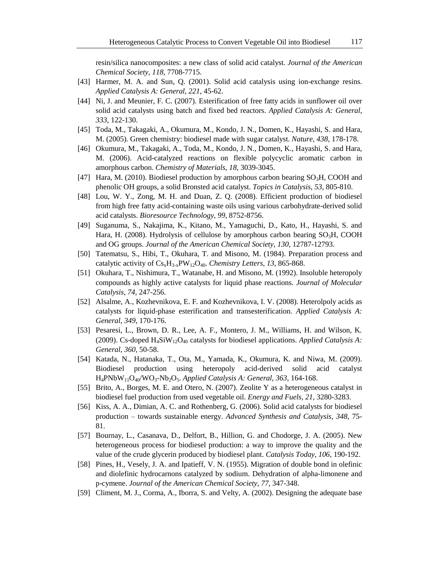resin/silica nanocomposites: a new class of solid acid catalyst. *Journal of the American Chemical Society*, *118*, 7708-7715.

- [43] Harmer, M. A. and Sun, Q. (2001). Solid acid catalysis using ion-exchange resins. *Applied Catalysis A: General*, *221*, 45-62.
- [44] Ni, J. and Meunier, F. C. (2007). Esterification of free fatty acids in sunflower oil over solid acid catalysts using batch and fixed bed reactors. *Applied Catalysis A: General*, *333*, 122-130.
- [45] Toda, M., Takagaki, A., Okumura, M., Kondo, J. N., Domen, K., Hayashi, S. and Hara, M. (2005). Green chemistry: biodiesel made with sugar catalyst. *Nature*, *438*, 178-178.
- [46] Okumura, M., Takagaki, A., Toda, M., Kondo, J. N., Domen, K., Hayashi, S. and Hara, M. (2006). Acid-catalyzed reactions on flexible polycyclic aromatic carbon in amorphous carbon. *Chemistry of Materials*, *18*, 3039-3045.
- [47] Hara, M. (2010). Biodiesel production by amorphous carbon bearing  $SO<sub>3</sub>H$ , COOH and phenolic OH groups, a solid Bronsted acid catalyst. *Topics in Catalysis*, *53*, 805-810.
- [48] Lou, W. Y., Zong, M. H. and Duan, Z. Q. (2008). Efficient production of biodiesel from high free fatty acid-containing waste oils using various carbohydrate-derived solid acid catalysts. *Bioresource Technology*, *99*, 8752-8756.
- [49] Suganuma, S., Nakajima, K., Kitano, M., Yamaguchi, D., Kato, H., Hayashi, S. and Hara, H. (2008). Hydrolysis of cellulose by amorphous carbon bearing  $SO<sub>3</sub>H$ , COOH and OG groups. *Journal of the American Chemical Society*, *130*, 12787-12793.
- [50] Tatematsu, S., Hibi, T., Okuhara, T. and Misono, M. (1984). Preparation process and catalytic activity of  $Cs_xH_{3-x}PW_{12}O_{40}$ . *Chemistry Letters*, 13, 865-868.
- [51] Okuhara, T., Nishimura, T., Watanabe, H. and Misono, M. (1992). Insoluble heteropoly compounds as highly active catalysts for liquid phase reactions. *Journal of Molecular Catalysis*, *74*, 247-256.
- [52] Alsalme, A., Kozhevnikova, E. F. and Kozhevnikova, I. V. (2008). Heterolpoly acids as catalysts for liquid-phase esterification and transesterification. *Applied Catalysis A: General*, *349*, 170-176.
- [53] Pesaresi, L., Brown, D. R., Lee, A. F., Montero, J. M., Williams, H. and Wilson, K. (2009). Cs-doped H4SiW12O<sup>40</sup> catalysts for biodiesel applications. *Applied Catalysis A: General*, *360*, 50-58.
- [54] Katada, N., Hatanaka, T., Ota, M., Yamada, K., Okumura, K. and Niwa, M. (2009). Biodiesel production using heteropoly acid-derived solid acid catalyst H4PNbW11O40/WO3-Nb2O5. *Applied Catalysis A: General*, *363*, 164-168.
- [55] Brito, A., Borges, M. E. and Otero, N. (2007). Zeolite Y as a heterogeneous catalyst in biodiesel fuel production from used vegetable oil. *Energy and Fuels*, *21*, 3280-3283.
- [56] Kiss, A. A., Dimian, A. C. and Rothenberg, G. (2006). Solid acid catalysts for biodiesel production – towards sustainable energy. *Advanced Synthesis and Catalysis, 348*, 75- 81.
- [57] Bournay, L., Casanava, D., Delfort, B., Hillion, G. and Chodorge, J. A. (2005). New heterogeneous process for biodiesel production: a way to improve the quality and the value of the crude glycerin produced by biodiesel plant. *Catalysis Today*, *106*, 190-192.
- [58] Pines, H., Vesely, J. A. and Ipatieff, V. N. (1955). Migration of double bond in olefinic and diolefinic hydrocarnons catalyzed by sodium. Dehydration of alpha-limonene and p-cymene. *Journal of the American Chemical Society*, *77*, 347-348.
- [59] Climent, M. J., Corma, A., Iborra, S. and Velty, A. (2002). Designing the adequate base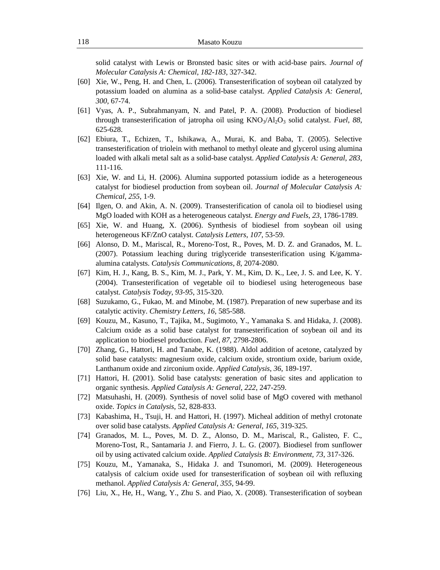solid catalyst with Lewis or Bronsted basic sites or with acid-base pairs. *Journal of Molecular Catalysis A: Chemical*, *182-183*, 327-342.

- [60] Xie, W., Peng, H. and Chen, L. (2006). Transesterification of soybean oil catalyzed by potassium loaded on alumina as a solid-base catalyst. *Applied Catalysis A: General*, *300*, 67-74.
- [61] Vyas, A. P., Subrahmanyam, N. and Patel, P. A. (2008). Production of biodiesel through transesterification of jatropha oil using KNO3/Al2O<sup>3</sup> solid catalyst. *Fuel*, *88*, 625-628.
- [62] Ebiura, T., Echizen, T., Ishikawa, A., Murai, K. and Baba, T. (2005). Selective transesterification of triolein with methanol to methyl oleate and glycerol using alumina loaded with alkali metal salt as a solid-base catalyst. *Applied Catalysis A: General*, *283*, 111-116.
- [63] Xie, W. and Li, H. (2006). Alumina supported potassium iodide as a heterogeneous catalyst for biodiesel production from soybean oil. *Journal of Molecular Catalysis A: Chemical*, *255*, 1-9.
- [64] Ilgen, O. and Akin, A. N. (2009). Transesterification of canola oil to biodiesel using MgO loaded with KOH as a heterogeneous catalyst. *Energy and Fuels*, *23*, 1786-1789.
- [65] Xie, W. and Huang, X. (2006). Synthesis of biodiesel from soybean oil using heterogeneous KF/ZnO catalyst. *Catalysis Letters*, *107*, 53-59.
- [66] Alonso, D. M., Mariscal, R., Moreno-Tost, R., Poves, M. D. Z. and Granados, M. L. (2007). Potassium leaching during triglyceride transesterification using K/gammaalumina catalysts. *Catalysis Communications, 8*, 2074-2080.
- [67] Kim, H. J., Kang, B. S., Kim, M. J., Park, Y. M., Kim, D. K., Lee, J. S. and Lee, K. Y. (2004). Transesterification of vegetable oil to biodiesel using heterogeneous base catalyst. *Catalysis Today*, *93-95*, 315-320.
- [68] Suzukamo, G., Fukao, M. and Minobe, M. (1987). Preparation of new superbase and its catalytic activity. *Chemistry Letters*, *16*, 585-588.
- [69] Kouzu, M., Kasuno, T., Tajika, M., Sugimoto, Y., Yamanaka S. and Hidaka, J. (2008). Calcium oxide as a solid base catalyst for transesterification of soybean oil and its application to biodiesel production. *Fuel*, *87*, 2798-2806.
- [70] Zhang, G., Hattori, H. and Tanabe, K. (1988). Aldol addition of acetone, catalyzed by solid base catalysts: magnesium oxide, calcium oxide, strontium oxide, barium oxide, Lanthanum oxide and zirconium oxide. *Applied Catalysis*, *36*, 189-197.
- [71] Hattori, H. (2001). Solid base catalysts: generation of basic sites and application to organic synthesis. *Applied Catalysis A: General*, *222*, 247-259.
- [72] Matsuhashi, H. (2009). Synthesis of novel solid base of MgO covered with methanol oxide. *Topics in Catalysis*, 52, 828-833.
- [73] Kabashima, H., Tsuji, H. and Hattori, H. (1997). Micheal addition of methyl crotonate over solid base catalysts. *Applied Catalysis A: General*, *165*, 319-325.
- [74] Granados, M. L., Poves, M. D. Z., Alonso, D. M., Mariscal, R., Galisteo, F. C., Moreno-Tost, R., Santamaria J. and Fierro, J. L. G. (2007). Biodiesel from sunflower oil by using activated calcium oxide. *Applied Catalysis B: Environment, 73*, 317-326.
- [75] Kouzu, M., Yamanaka, S., Hidaka J. and Tsunomori, M. (2009). Heterogeneous catalysis of calcium oxide used for transesterification of soybean oil with refluxing methanol. *Applied Catalysis A: General*, *355*, 94-99.
- [76] Liu, X., He, H., Wang, Y., Zhu S. and Piao, X. (2008). Transesterification of soybean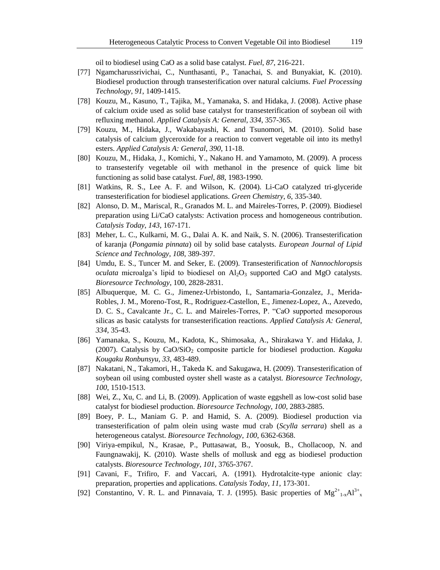oil to biodiesel using CaO as a solid base catalyst. *Fuel*, *87*, 216-221.

- [77] Ngamcharussrivichai, C., Nunthasanti, P., Tanachai, S. and Bunyakiat, K. (2010). Biodiesel production through transesterification over natural calciums. *Fuel Processing Technology*, *91*, 1409-1415.
- [78] Kouzu, M., Kasuno, T., Tajika, M., Yamanaka, S. and Hidaka, J. (2008). Active phase of calcium oxide used as solid base catalyst for transesterification of soybean oil with refluxing methanol. *Applied Catalysis A: General*, *334*, 357-365.
- [79] Kouzu, M., Hidaka, J., Wakabayashi, K. and Tsunomori, M. (2010). Solid base catalysis of calcium glyceroxide for a reaction to convert vegetable oil into its methyl esters. *Applied Catalysis A: General*, *390*, 11-18.
- [80] Kouzu, M., Hidaka, J., Komichi, Y., Nakano H. and Yamamoto, M. (2009). A process to transesterify vegetable oil with methanol in the presence of quick lime bit functioning as solid base catalyst. *Fuel*, *88*, 1983-1990.
- [81] Watkins, R. S., Lee A. F. and Wilson, K. (2004). Li-CaO catalyzed tri-glyceride transesterification for biodiesel applications. *Green Chemistry*, *6*, 335-340.
- [82] Alonso, D. M., Mariscal, R., Granados M. L. and Maireles-Torres, P. (2009). Biodiesel preparation using Li/CaO catalysts: Activation process and homogeneous contribution. *Catalysis Today*, *143*, 167-171.
- [83] Meher, L. C., Kulkarni, M. G., Dalai A. K. and Naik, S. N. (2006). Transesterification of karanja (*Pongamia pinnata*) oil by solid base catalysts. *European Journal of Lipid Science and Technology*, *108*, 389-397.
- [84] Umdu, E. S., Tuncer M. and Seker, E. (2009). Transesterification of *Nannochloropsis oculata* microalga's lipid to biodiesel on  $Al_2O_3$  supported CaO and MgO catalysts. *Bioresource Technology*, 100, 2828-2831.
- [85] Albuquerque, M. C. G., Jimenez-Urbistondo, I., Santamaria-Gonzalez, J., Merida-Robles, J. M., Moreno-Tost, R., Rodriguez-Castellon, E., Jimenez-Lopez, A., Azevedo, D. C. S., Cavalcante Jr., C. L. and Maireles-Torres, P. "CaO supported mesoporous silicas as basic catalysts for transesterification reactions. *Applied Catalysis A: General*, *334*, 35-43.
- [86] Yamanaka, S., Kouzu, M., Kadota, K., Shimosaka, A., Shirakawa Y. and Hidaka, J. (2007). Catalysis by CaO/SiO<sup>2</sup> composite particle for biodiesel production. *Kagaku Kougaku Ronbunsyu*, *33*, 483-489.
- [87] Nakatani, N., Takamori, H., Takeda K. and Sakugawa, H. (2009). Transesterification of soybean oil using combusted oyster shell waste as a catalyst. *Bioresource Technology*, *100*, 1510-1513.
- [88] Wei, Z., Xu, C. and Li, B. (2009). Application of waste eggshell as low-cost solid base catalyst for biodiesel production. *Bioresource Technology*, *100*, 2883-2885.
- [89] Boey, P. L., Maniam G. P. and Hamid, S. A. (2009). Biodiesel production via transesterification of palm olein using waste mud crab (*Scylla serrara*) shell as a heterogeneous catalyst. *Bioresource Technology*, *100*, 6362-6368.
- [90] Viriya-empikul, N., Krasae, P., Puttasawat, B., Yoosuk, B., Chollacoop, N. and Faungnawakij, K. (2010). Waste shells of mollusk and egg as biodiesel production catalysts. *Bioresource Technology*, *101*, 3765-3767.
- [91] Cavani, F., Trifiro, F. and Vaccari, A. (1991). Hydrotalcite-type anionic clay: preparation, properties and applications. *Catalysis Today*, *11*, 173-301.
- [92] Constantino, V. R. L. and Pinnavaia, T. J. (1995). Basic properties of  $Mg^{2+}_{1-x}Al^{3+}_{x}$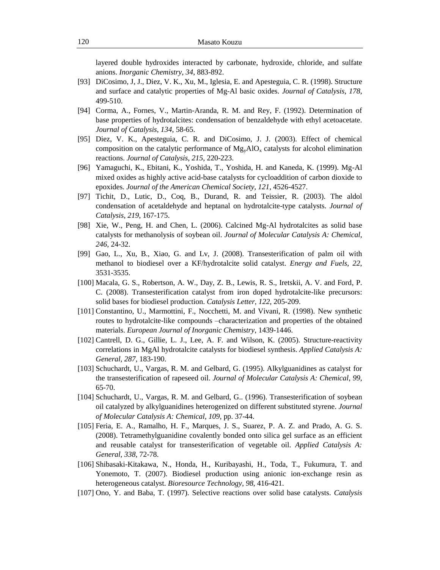layered double hydroxides interacted by carbonate, hydroxide, chloride, and sulfate anions. *Inorganic Chemistry, 34*, 883-892.

- [93] DiCosimo, J, J., Diez, V. K., Xu, M., Iglesia, E. and Apesteguia, C. R. (1998). Structure and surface and catalytic properties of Mg-Al basic oxides. *Journal of Catalysis*, *178*, 499-510.
- [94] Corma, A., Fornes, V., Martin-Aranda, R. M. and Rey, F. (1992). Determination of base properties of hydrotalcites: condensation of benzaldehyde with ethyl acetoacetate. *Journal of Catalysis*, *134*, 58-65.
- [95] Diez, V. K., Apesteguia, C. R. and DiCosimo, J. J. (2003). Effect of chemical composition on the catalytic performance of  $Mg_yAlO_x$  catalysts for alcohol elimination reactions. *Journal of Catalysis*, *215*, 220-223.
- [96] Yamaguchi, K., Ebitani, K., Yoshida, T., Yoshida, H. and Kaneda, K. (1999). Mg-Al mixed oxides as highly active acid-base catalysts for cycloaddition of carbon dioxide to epoxides. *Journal of the American Chemical Society, 121*, 4526-4527.
- [97] Tichit, D., Lutic, D., Coq, B., Durand, R. and Teissier, R. (2003). The aldol condensation of acetaldehyde and heptanal on hydrotalcite-type catalysts. *Journal of Catalysis*, *219*, 167-175.
- [98] Xie, W., Peng, H. and Chen, L. (2006). Calcined Mg-Al hydrotalcites as solid base catalysts for methanolysis of soybean oil. *Journal of Molecular Catalysis A: Chemical*, *246*, 24-32.
- [99] Gao, L., Xu, B., Xiao, G. and Lv, J. (2008). Transesterification of palm oil with methanol to biodiesel over a KF/hydrotalcite solid catalyst. *Energy and Fuels*, *22*, 3531-3535.
- [100] Macala, G. S., Robertson, A. W., Day, Z. B., Lewis, R. S., Iretskii, A. V. and Ford, P. C. (2008). Transesterification catalyst from iron doped hydrotalcite-like precursors: solid bases for biodiesel production. *Catalysis Letter*, *122*, 205-209.
- [101] Constantino, U., Marmottini, F., Nocchetti, M. and Vivani, R. (1998). New synthetic routes to hydrotalcite-like compounds –characterization and properties of the obtained materials. *European Journal of Inorganic Chemistry*, 1439-1446.
- [102] Cantrell, D. G., Gillie, L. J., Lee, A. F. and Wilson, K. (2005). Structure-reactivity correlations in MgAl hydrotalcite catalysts for biodiesel synthesis. *Applied Catalysis A: General*, *287*, 183-190.
- [103] Schuchardt, U., Vargas, R. M. and Gelbard, G. (1995). Alkylguanidines as catalyst for the transesterification of rapeseed oil. *Journal of Molecular Catalysis A: Chemical*, *99*, 65-70.
- [104] Schuchardt, U., Vargas, R. M. and Gelbard, G.. (1996). Transesterification of soybean oil catalyzed by alkylguanidines heterogenized on different substituted styrene. *Journal of Molecular Catalysis A: Chemical*, *109*, pp. 37-44.
- [105] Feria, E. A., Ramalho, H. F., Marques, J. S., Suarez, P. A. Z. and Prado, A. G. S. (2008). Tetramethylguanidine covalently bonded onto silica gel surface as an efficient and reusable catalyst for transesterification of vegetable oil. *Applied Catalysis A: General*, *338*, 72-78.
- [106] Shibasaki-Kitakawa, N., Honda, H., Kuribayashi, H., Toda, T., Fukumura, T. and Yonemoto, T. (2007). Biodiesel production using anionic ion-exchange resin as heterogeneous catalyst. *Bioresource Technology*, *98*, 416-421.
- [107] Ono, Y. and Baba, T. (1997). Selective reactions over solid base catalysts. *Catalysis*